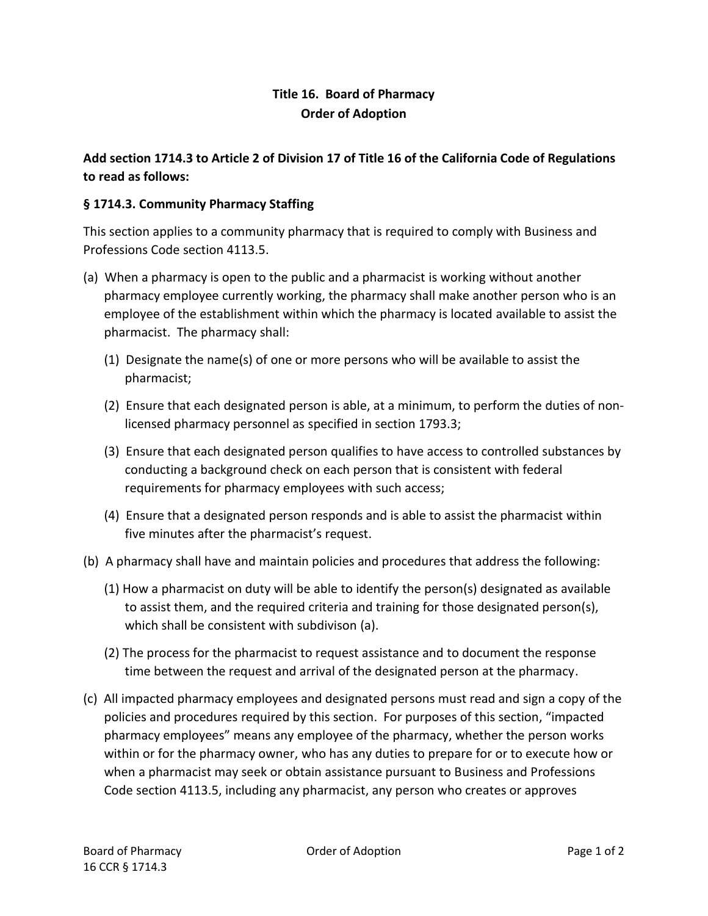## **Title 16. Board of Pharmacy Order of Adoption**

## **Add section 1714.3 to Article 2 of Division 17 of Title 16 of the California Code of Regulations to read as follows:**

## **§ 1714.3. Community Pharmacy Staffing**

This section applies to a community pharmacy that is required to comply with Business and Professions Code section 4113.5.

- (a) When a pharmacy is open to the public and a pharmacist is working without another pharmacy employee currently working, the pharmacy shall make another person who is an employee of the establishment within which the pharmacy is located available to assist the pharmacist. The pharmacy shall:
	- (1) Designate the name(s) of one or more persons who will be available to assist the pharmacist;
	- (2) Ensure that each designated person is able, at a minimum, to perform the duties of nonlicensed pharmacy personnel as specified in section 1793.3;
	- (3) Ensure that each designated person qualifies to have access to controlled substances by conducting a background check on each person that is consistent with federal requirements for pharmacy employees with such access;
	- (4) Ensure that a designated person responds and is able to assist the pharmacist within five minutes after the pharmacist's request.
- (b) A pharmacy shall have and maintain policies and procedures that address the following:
	- (1) How a pharmacist on duty will be able to identify the person(s) designated as available to assist them, and the required criteria and training for those designated person(s), which shall be consistent with subdivison (a).
	- (2) The process for the pharmacist to request assistance and to document the response time between the request and arrival of the designated person at the pharmacy.
- (c) All impacted pharmacy employees and designated persons must read and sign a copy of the policies and procedures required by this section. For purposes of this section, "impacted pharmacy employees" means any employee of the pharmacy, whether the person works within or for the pharmacy owner, who has any duties to prepare for or to execute how or when a pharmacist may seek or obtain assistance pursuant to Business and Professions Code section 4113.5, including any pharmacist, any person who creates or approves